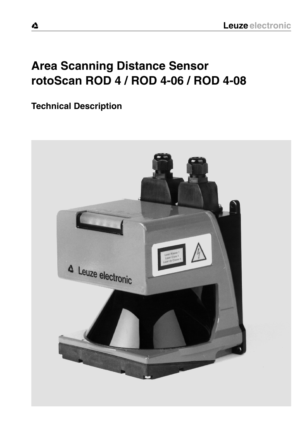# **Area Scanning Distance Sensor rotoScan ROD 4 / ROD 4-06 / ROD 4-08**

**Technical Description**

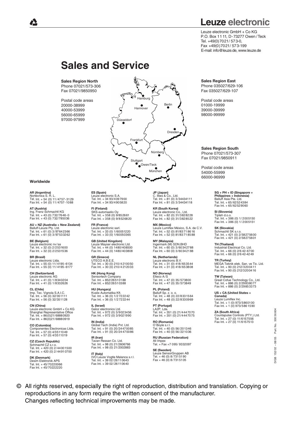# **Leuze electronic**

Leuze electronic GmbH + Co KG P.O. Box 11 11, D-73277 Owen /Teck Tel. +49(0)7021/ 573-0, Fax +49(0)7021/ 573-199 E-mail: info@leuze.de, www.leuze.de

# **Sales and Service**

**Sales Region North** Phone 07021/573-306 Fax 07021/9850950

Postal code areas 20000-38999 40000-53999 56000-65999 97000-97999



#### **Worldwide**

**AR (Argentina)** Nortécnica S. R. L. Tel. Int. + 54 (0) 11/4757-3129 Fax Int. + 54 (0) 11/4757-1088

**AT (Austria)** Ing. Franz Schmachtl KG Tel. Int. + 43 (0) 732/7646-0 Fax Int. + 43 (0) 732/785036

**AU + NZ (Australia + New Zealand)** Balluff-Leuze Pty. Ltd. Tel. Int. + 61 (0) 3/97642366 Fax Int. + 61 (0) 3/97533262

**BE (Belgium)** Leuze electronic nv/sa Tel. Int. + 32 (0) 2/2531600 Fax Int. + 32 (0) 2/2531536

**BR (Brasil)** Leuze electronic Ltda. Tel. Int. + 55 (0) 11/ 4195-6134 Fax Int. + 55 (0) 11/ 4195-6177

**CH (Switzerland)** Leuze electronic AG Tel. Int. + 41 (0) 1/8340204 Fax Int. + 41 (0) 1/8332626

**CL (Chile)** Imp. Tec. Vignola S.A.I.C. Tel. Int. + 56 (0) 32/351111 Fax Int. + 56 (0) 32/351128

**CN (China)** Leuze electronic GmbH + Co KG Shanghai Representative Office Tel. Int. + 86(0)21/ 68880920 Fax Int. + 86(0)21/ 68880919

**CO (Colombia)** Componentes Electronicas Ltda. Tel. Int. + 57 (0) 4/3511049 Fax Int. + 57 (0) 4/3511019

**CZ (Czech Republic)** Schmachtl CZ s.r.o. Tel. Int. + 420 (0) 2/44001500 Fax Int. + 420 (0) 2/44910700

**DK (Denmark)** Desim Elektronik APS Tel. Int. + 45/70220066 Fax Int. + 45/70222220 **ES (Spain)** Leuze electronic S.A. Tel. Int. + 34 93/4097900 Fax Int. + 34 93/4905820

**FI (Finland)** SKS-automaatio Oy Tel. Int. + 358 (0) 9/852661 Fax Int. + 358 (0) 9/8526820

**FR (France)** Leuze electronic sarl. Tel. Int. + 33 (0) 1/60051220 Fax Int. + 33 (0) 1/60050365

**GB (United Kingdom)** Leuze Mayser electronic Ltd. Tel. Int. + 44 (0) 1480/408500 Fax Int. + 44 (0) 1480/403808

**GR (Greece)** UTECO A.B.E.E. Tel. Int. + 30 (0) 210/4 210050 Fax Int. + 30 (0) 210/4 212033

**HK (Hong Kong)** ortech Company Tel. Int. + 852/26510188 Fax Int. + 852/26510388

**HU (Hungary)** Kvalix Automatika Kft. Tel. Int. + 36 (0) 1/2 722242 Fax Int. + 36 (0) 1/2 722244

**IL (Israel)** Galoz electronics Ltd. Tel. Int. + 972 (0) 3/9023456 Fax Int. + 972 (0) 3/9021990

**IN (India)** Global Tech (India) Pvt. Ltd. Tel. Int. + 91 (0) 20/24470085 Fax Int. + 91 (0) 20/24 470086

**IR (Iran)** Tavan Ressan Co. Ltd. Tel. Int. + 98 (0) 21/2606766 Fax Int. + 98 (0) 21/2002883

**IT (Italy)** IVO Leuze Vogtle Malanca s.r.l. Tel. Int. + 39 02/26110643 Fax Int. + 39 02/26110640

**JP (Japan)**<br>C. Illies & Co., Ltd.<br>Tel. Int. + 81 (0) 3/34434111<br>Fax Int. + 81 (0) 3/34434118

**KR (South Korea)** Leuze electronic Co., Ltd. Tel. Int. + 82 (0) 31/3828228 Fax Int. + 82 (0) 31/3828522

**MX (Mexico)** Leuze Lumiflex México, S.A. de C.V. Tel. Int. + 52 (0) 81/83 71 86 16 Fax Int. + 52 (0) 81/83 71 85 88

**MY (Malaysia)**<br>Ingermark (M) SDN.BHD<br>Tel. Int. + 60 (0) 3/60342788 Fax Int. + 60 (0) 3/60342188

**NL (Netherlands)** Leuze electronic B.V. Tel. Int. + 31 (0) 418/653544 Fax Int. + 31 (0) 418/653808

**NO (Norway)** Elteco A/S Tel. Int. + 47 (0) 35/573800 Fax Int. + 47 (0) 35/573849

**PL (Poland)** Balluff Sp. z. o. o. Tel. Int. + 48 (0) 22/8331564 Fax Int. + 48 (0) 22/8330969

**PT (Portugal)** LA2P, Lda. Tel. Int. + 351 (0) 21/4447070 Fax Int. + 351 (0) 21/4447075

**RO (Romania)** O`Boyle s.r.l. Tel. Int. + 40 (0) 56/201346 Fax Int. + 40 (0) 56/221036

**RU (Russian Federation)**

All Impex Tel. + Fax +7 095/ 9332097 **SE (Sweden)** Leuze SensorGruppen AB

Tel. + 46 (0) 8/7315190 Fax + 46 (0) 8/7315105

**Sales Region East** Phone 035027/629-106 Fax 035027/629-107

Postal code areas 01000-19999 39000-39999 98000-99999

**Sales Region South** Phone 07021/573-307 Fax 07021/9850911

Postal code areas 54000-55999 66000-96999

> **SG + PH + ID (Singapore +**  Balluff Asia Pte. Ltd. **Philippines + Indonesia)** Tel. Int. + 65/62524384 Fax Int. + 65/62529060

**SI (Slovenia)** Tipteh d.o.o. Tel. Int. + 386 (0) 1/ 2005150 Fax Int. + 386 (0) 1/ 2005151

**SK (Slovakia)** Schmachtl SK s.r.o. Tel. Int. + 421 (0) 2/58275600 Fax Int. + 421 (0) 2/58275601

**TH (Thailand)** Industrial Electrical Co. Ltd. Tel. Int. + 66 (0) 2/6 42-6700 Fax Int. + 66 (0) 2/6 42-4249

**TR (Turkey)** MEGA Teknik elek. San. ve Tic. Ltd. Tel. Int. + 90 (0) 212/3200411 Fax Int. + 90 (0) 212/3200416

**TW (Taiwan)** Great Cofue Technology Co., Ltd. Tel. Int. + 886 (0) 2/29838077 Fax Int. + 886 (0) 2/29853373

**US + CA (United States + Canada)** Leuze Lumiflex Inc. Tel. Int. + 1 (0) 973/5860100 Fax Int. + 1 (0) 973/586 1590

**ZA (South Africa)**<br>Countapulse Controls (PTY.) Ltd.<br>Tel. Int. + 27 (0) 11/6157556<br>Fax Int. + 27 (0) 11/6157513

D/GB 152/02 – 08/05 Part. No. 500 36 604 š 500 ś Part.  $-08/05$ 52/02 DIGB

 $504$ 

© All rights reserved, especially the right of reproduction, distribution and translation. Copying or reproductions in any form require the written consent of the manufacturer. Changes reflecting technical improvements may be made.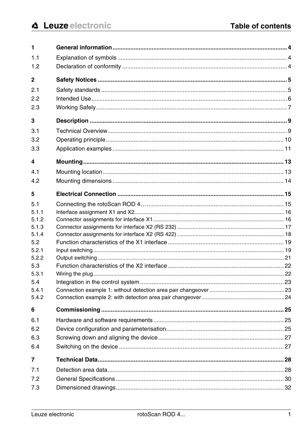| 1              |  |
|----------------|--|
| 1.1            |  |
| 1.2            |  |
| 2              |  |
| 2.1            |  |
| 2.2            |  |
| 2.3            |  |
| 3              |  |
| 3.1            |  |
| 3.2            |  |
| 3.3            |  |
| 4              |  |
| 4.1            |  |
| 4.2            |  |
| 5              |  |
| 5.1            |  |
| 5.1.1          |  |
| 5.1.2          |  |
| 5.1.3          |  |
| 5.1.4          |  |
| 5.2            |  |
| 5.2.1<br>5.2.2 |  |
| 5.3            |  |
| 5.3.1          |  |
| 5.4            |  |
| 5.4.1          |  |
| 5.4.2          |  |
| 6              |  |
| 6.1            |  |
| 6.2            |  |
| 6.3            |  |
| 6.4            |  |
| 7              |  |
| 7.1            |  |
| 7.2            |  |
| 7.3            |  |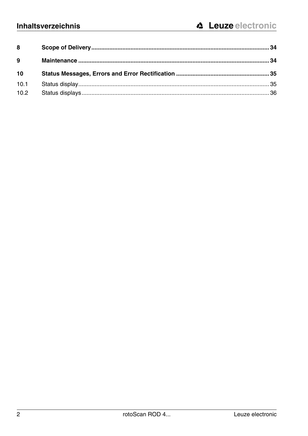| 8    |  |
|------|--|
| 9    |  |
| 10   |  |
| 10.1 |  |
| 10.2 |  |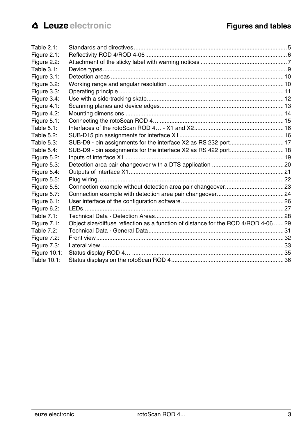| Table 2.1:   |                                                                                     |  |
|--------------|-------------------------------------------------------------------------------------|--|
| Figure 2.1:  |                                                                                     |  |
| Figure 2.2:  |                                                                                     |  |
| Table 3.1:   |                                                                                     |  |
| Figure 3.1:  |                                                                                     |  |
| Figure 3.2:  |                                                                                     |  |
| Figure 3.3:  |                                                                                     |  |
| Figure 3.4:  |                                                                                     |  |
| Figure 4.1:  |                                                                                     |  |
| Figure 4.2:  |                                                                                     |  |
| Figure 5.1:  |                                                                                     |  |
| Table 5.1:   |                                                                                     |  |
| Table 5.2:   |                                                                                     |  |
| Table 5.3:   | SUB-D9 - pin assignments for the interface X2 as RS 232 port 17                     |  |
| Table 5.4:   | SUB-D9 - pin assignments for the interface X2 as RS 422 port 18                     |  |
| Figure 5.2:  |                                                                                     |  |
| Figure 5.3:  |                                                                                     |  |
| Figure 5.4:  |                                                                                     |  |
| Figure 5.5:  |                                                                                     |  |
| Figure 5.6:  |                                                                                     |  |
| Figure 5.7:  |                                                                                     |  |
| Figure 6.1:  |                                                                                     |  |
| Figure 6.2:  |                                                                                     |  |
| Table 7.1:   |                                                                                     |  |
| Figure 7.1:  | Object size/diffuse reflection as a function of distance for the ROD 4/ROD 4-06  29 |  |
| Table 7.2:   |                                                                                     |  |
| Figure 7.2:  |                                                                                     |  |
| Figure 7.3:  |                                                                                     |  |
| Figure 10.1: |                                                                                     |  |
| Table 10.1:  |                                                                                     |  |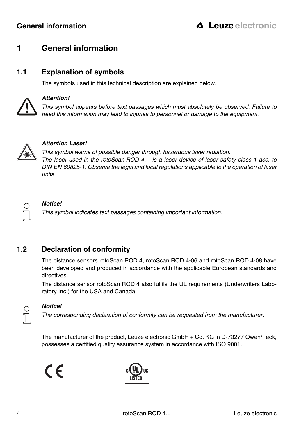# <span id="page-5-0"></span>**1 General information**

### <span id="page-5-1"></span>**1.1 Explanation of symbols**

The symbols used in this technical description are explained below.



#### **Attention!**

This symbol appears before text passages which must absolutely be observed. Failure to heed this information may lead to injuries to personnel or damage to the equipment.



#### **Attention Laser!**

This symbol warns of possible danger through hazardous laser radiation. The laser used in the rotoScan ROD-4… is a laser device of laser safety class 1 acc. to DIN EN 60825-1. Observe the legal and local regulations applicable to the operation of laser units.



#### **Notice!**

This symbol indicates text passages containing important information.

# <span id="page-5-2"></span>**1.2 Declaration of conformity**

The distance sensors rotoScan ROD 4, rotoScan ROD 4-06 and rotoScan ROD 4-08 have been developed and produced in accordance with the applicable European standards and directives.

The distance sensor rotoScan ROD 4 also fulfils the UL requirements (Underwriters Laboratory Inc.) for the USA and Canada.



#### **Notice!**

The corresponding declaration of conformity can be requested from the manufacturer.

The manufacturer of the product, Leuze electronic GmbH + Co. KG in D-73277 Owen/Teck, possesses a certified quality assurance system in accordance with ISO 9001.



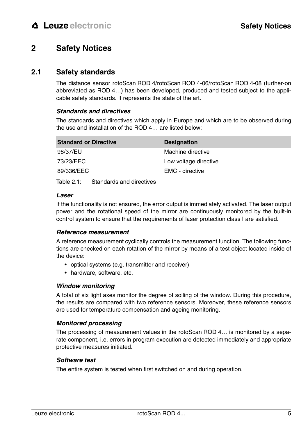# <span id="page-6-0"></span>**2 Safety Notices**

#### <span id="page-6-1"></span>**2.1 Safety standards**

The distance sensor rotoScan ROD 4/rotoScan ROD 4-06/rotoScan ROD 4-08 (further-on abbreviated as ROD 4…) has been developed, produced and tested subject to the applicable safety standards. It represents the state of the art.

#### **Standards and directives**

The standards and directives which apply in Europe and which are to be observed during the use and installation of the ROD 4… are listed below:

| <b>Standard or Directive</b> | <b>Designation</b>    |
|------------------------------|-----------------------|
| 98/37/EU                     | Machine directive     |
| 73/23/EEC                    | Low voltage directive |
| 89/336/EEC                   | EMC - directive       |
|                              |                       |

<span id="page-6-2"></span>Table 2.1: Standards and directives

#### **Laser**

If the functionality is not ensured, the error output is immediately activated. The laser output power and the rotational speed of the mirror are continuously monitored by the built-in control system to ensure that the requirements of laser protection class I are satisfied.

#### **Reference measurement**

A reference measurement cyclically controls the measurement function. The following functions are checked on each rotation of the mirror by means of a test object located inside of the device:

- optical systems (e.g. transmitter and receiver)
- hardware, software, etc.

#### **Window monitoring**

A total of six light axes monitor the degree of soiling of the window. During this procedure, the results are compared with two reference sensors. Moreover, these reference sensors are used for temperature compensation and ageing monitoring.

#### **Monitored processing**

The processing of measurement values in the rotoScan ROD 4… is monitored by a separate component, i.e. errors in program execution are detected immediately and appropriate protective measures initiated.

#### **Software test**

The entire system is tested when first switched on and during operation.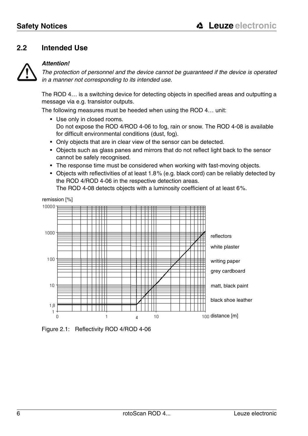# <span id="page-7-0"></span>**2.2 Intended Use**



#### **Attention!**

The protection of personnel and the device cannot be guaranteed if the device is operated in a manner not corresponding to its intended use.

The ROD 4… is a switching device for detecting objects in specified areas and outputting a message via e.g. transistor outputs.

The following measures must be heeded when using the ROD 4… unit:

- Use only in closed rooms. Do not expose the ROD 4/ROD 4-06 to fog, rain or snow. The ROD 4-08 is available for difficult environmental conditions (dust, fog).
- Only objects that are in clear view of the sensor can be detected.
- Objects such as glass panes and mirrors that do not reflect light back to the sensor cannot be safely recognised.
- The response time must be considered when working with fast-moving objects.
- Objects with reflectivities of at least 1.8% (e.g. black cord) can be reliably detected by the ROD 4/ROD 4-06 in the respective detection areas.

The ROD 4-08 detects objects with a luminosity coefficient of at least 6%.



<span id="page-7-1"></span>Figure 2.1: Reflectivity ROD 4/ROD 4-06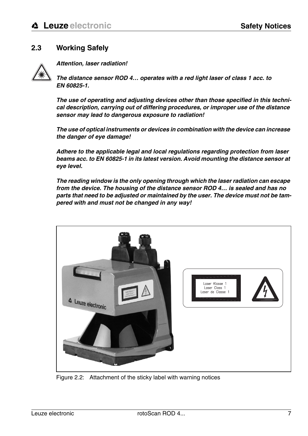# <span id="page-8-0"></span>**2.3 Working Safely**



**Attention, laser radiation!**

**The distance sensor ROD 4… operates with a red light laser of class 1 acc. to EN 60825-1.**

**The use of operating and adjusting devices other than those specified in this technical description, carrying out of differing procedures, or improper use of the distance sensor may lead to dangerous exposure to radiation!** 

**The use of optical instruments or devices in combination with the device can increase the danger of eye damage!**

**Adhere to the applicable legal and local regulations regarding protection from laser beams acc. to EN 60825-1 in its latest version. Avoid mounting the distance sensor at eye level.**

**The reading window is the only opening through which the laser radiation can escape from the device. The housing of the distance sensor ROD 4… is sealed and has no parts that need to be adjusted or maintained by the user. The device must not be tampered with and must not be changed in any way!**

<span id="page-8-1"></span>

Figure 2.2: Attachment of the sticky label with warning notices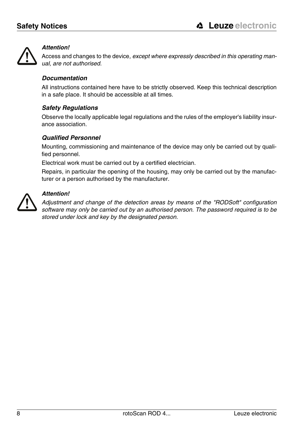

#### **Attention!**

Access and changes to the device, except where expressly described in this operating manual, are not authorised.

#### **Documentation**

All instructions contained here have to be strictly observed. Keep this technical description in a safe place. It should be accessible at all times.

#### **Safety Regulations**

Observe the locally applicable legal regulations and the rules of the employer's liability insurance association.

#### **Qualified Personnel**

Mounting, commissioning and maintenance of the device may only be carried out by qualified personnel.

Electrical work must be carried out by a certified electrician.

Repairs, in particular the opening of the housing, may only be carried out by the manufacturer or a person authorised by the manufacturer.



#### **Attention!**

Adjustment and change of the detection areas by means of the "RODSoft" configuration software may only be carried out by an authorised person. The password required is to be stored under lock and key by the designated person.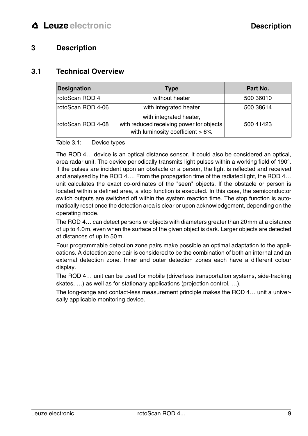# <span id="page-10-0"></span>**3 Description**

#### <span id="page-10-1"></span>**3.1 Technical Overview**

| <b>Designation</b> | <b>Type</b>                                                                                             | Part No.  |
|--------------------|---------------------------------------------------------------------------------------------------------|-----------|
| rotoScan ROD 4     | without heater                                                                                          | 500 36010 |
| rotoScan ROD 4-06  | with integrated heater                                                                                  | 500 38614 |
| rotoScan ROD 4-08  | with integrated heater,<br>with reduced receiving power for objects<br>with luminosity coefficient > 6% | 500 41423 |

#### <span id="page-10-2"></span>Table 3.1: Device types

The ROD 4… device is an optical distance sensor. It could also be considered an optical, area radar unit. The device periodically transmits light pulses within a working field of 190°. If the pulses are incident upon an obstacle or a person, the light is reflected and received and analysed by the ROD 4…. From the propagation time of the radiated light, the ROD 4… unit calculates the exact co-ordinates of the "seen" objects. If the obstacle or person is located within a defined area, a stop function is executed. In this case, the semiconductor switch outputs are switched off within the system reaction time. The stop function is automatically reset once the detection area is clear or upon acknowledgement, depending on the operating mode.

The ROD 4… can detect persons or objects with diameters greater than 20mm at a distance of up to 4.0m, even when the surface of the given object is dark. Larger objects are detected at distances of up to 50m.

Four programmable detection zone pairs make possible an optimal adaptation to the applications. A detection zone pair is considered to be the combination of both an internal and an external detection zone. Inner and outer detection zones each have a different colour display.

The ROD 4… unit can be used for mobile (driverless transportation systems, side-tracking skates, …) as well as for stationary applications (projection control, …).

The long-range and contact-less measurement principle makes the ROD 4… unit a universally applicable monitoring device.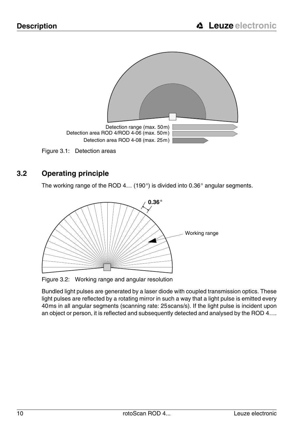

# <span id="page-11-1"></span><span id="page-11-0"></span>**3.2 Operating principle**

The working range of the ROD 4… (190°) is divided into 0.36° angular segments.



<span id="page-11-2"></span>Figure 3.2: Working range and angular resolution

Bundled light pulses are generated by a laser diode with coupled transmission optics. These light pulses are reflected by a rotating mirror in such a way that a light pulse is emitted every 40ms in all angular segments (scanning rate: 25scans/s). If the light pulse is incident upon an object or person, it is reflected and subsequently detected and analysed by the ROD 4….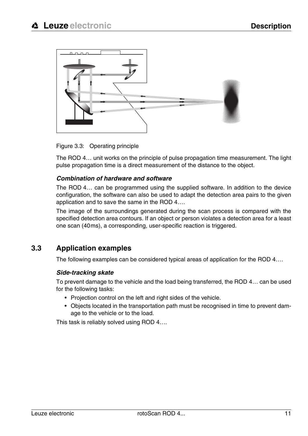

<span id="page-12-1"></span>Figure 3.3: Operating principle

The ROD 4… unit works on the principle of pulse propagation time measurement. The light pulse propagation time is a direct measurement of the distance to the object.

#### **Combination of hardware and software**

The ROD 4… can be programmed using the supplied software. In addition to the device configuration, the software can also be used to adapt the detection area pairs to the given application and to save the same in the ROD 4….

The image of the surroundings generated during the scan process is compared with the specified detection area contours. If an object or person violates a detection area for a least one scan (40ms), a corresponding, user-specific reaction is triggered.

### <span id="page-12-0"></span>**3.3 Application examples**

The following examples can be considered typical areas of application for the ROD 4….

#### **Side-tracking skate**

To prevent damage to the vehicle and the load being transferred, the ROD 4… can be used for the following tasks:

- Projection control on the left and right sides of the vehicle.
- Objects located in the transportation path must be recognised in time to prevent damage to the vehicle or to the load.

This task is reliably solved using ROD 4….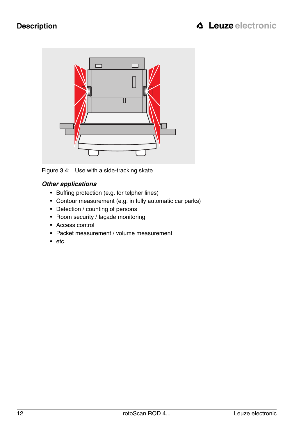

Figure 3.4: Use with a side-tracking skate

### <span id="page-13-0"></span>**Other applications**

- Buffing protection (e.g. for telpher lines)
- Contour measurement (e.g. in fully automatic car parks)
- Detection / counting of persons
- Room security / façade monitoring
- Access control
- Packet measurement / volume measurement
- etc.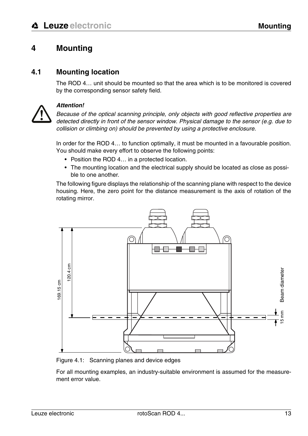# <span id="page-14-0"></span>**4 Mounting**

### <span id="page-14-1"></span>**4.1 Mounting location**

The ROD  $\Delta$  unit should be mounted so that the area which is to be monitored is covered by the corresponding sensor safety field.



#### **Attention!**

Because of the optical scanning principle, only objects with good reflective properties are detected directly in front of the sensor window. Physical damage to the sensor (e.g. due to collision or climbing on) should be prevented by using a protective enclosure.

In order for the ROD 4… to function optimally, it must be mounted in a favourable position. You should make every effort to observe the following points:

- Position the ROD 4... in a protected location.
- The mounting location and the electrical supply should be located as close as possible to one another.

The following figure displays the relationship of the scanning plane with respect to the device housing. Here, the zero point for the distance measurement is the axis of rotation of the rotating mirror.



<span id="page-14-2"></span>Figure 4.1: Scanning planes and device edges

For all mounting examples, an industry-suitable environment is assumed for the measure-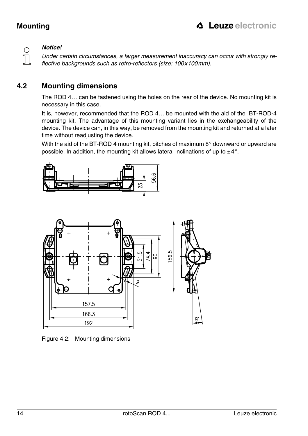◯  $\overline{\Box}$ 

# **Notice!**

Under certain circumstances, a larger measurement inaccuracy can occur with strongly reflective backgrounds such as retro-reflectors (size: 100x100mm).

# <span id="page-15-0"></span>**4.2 Mounting dimensions**

The ROD 4… can be fastened using the holes on the rear of the device. No mounting kit is necessary in this case.

It is, however, recommended that the ROD 4… be mounted with the aid of the BT-ROD-4 mounting kit. The advantage of this mounting variant lies in the exchangeability of the device. The device can, in this way, be removed from the mounting kit and returned at a later time without readjusting the device.

With the aid of the BT-ROD 4 mounting kit, pitches of maximum 8° downward or upward are possible. In addition, the mounting kit allows lateral inclinations of up to  $\pm 4^{\circ}$ .





<span id="page-15-1"></span>Figure 4.2: Mounting dimensions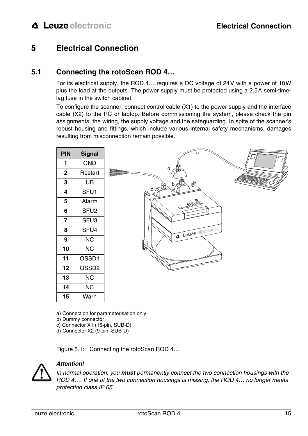# <span id="page-16-0"></span>**5 Electrical Connection**

### <span id="page-16-1"></span>**5.1 Connecting the rotoScan ROD 4…**

For its electrical supply, the ROD 4… requires a DC voltage of 24V with a power of 10W plus the load at the outputs. The power supply must be protected using a 2.5A semi-timelag fuse in the switch cabinet.

To configure the scanner, connect control cable (X1) to the power supply and the interface cable (X2) to the PC or laptop. Before commissioning the system, please check the pin assignments, the wiring, the supply voltage and the safeguarding. In spite of the scanner's robust housing and fittings, which include various internal safety mechanisms, damages resulting from misconnection remain possible.



a) Connection for parameterisation only

b) Dummy connector

c) Connector X1 (15-pin, SUB-D)

d) Connector X2 (9-pin, SUB-D)

<span id="page-16-2"></span>Figure 5.1: Connecting the rotoScan ROD 4…



#### **Attention!**

In normal operation, you **must** permanently connect the two connection housings with the ROD 4…. If one of the two connection housings is missing, the ROD 4… no longer meets protection class IP 65.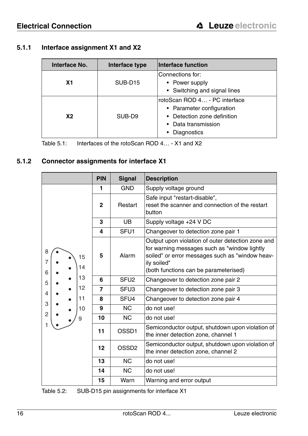### <span id="page-17-0"></span>**5.1.1 Interface assignment X1 and X2**

| Interface No. | Interface type      | Interface function                                                                                                                |
|---------------|---------------------|-----------------------------------------------------------------------------------------------------------------------------------|
| Χ1            | SUB-D <sub>15</sub> | Connections for:<br>• Power supply<br>• Switching and signal lines                                                                |
| <b>X2</b>     | SUB-D <sub>9</sub>  | rotoScan ROD 4 - PC interface<br>• Parameter configuration<br>• Detection zone definition<br>• Data transmission<br>• Diagnostics |

<span id="page-17-2"></span>Table 5.1: Interfaces of the rotoScan ROD 4… - X1 and X2

#### <span id="page-17-1"></span>**5.1.2 Connector assignments for interface X1**

|                         | <b>PIN</b>     | Signal            | <b>Description</b>                                                                                                                                                                                           |
|-------------------------|----------------|-------------------|--------------------------------------------------------------------------------------------------------------------------------------------------------------------------------------------------------------|
|                         | 1              | <b>GND</b>        | Supply voltage ground                                                                                                                                                                                        |
|                         | $\mathbf{2}$   | Restart           | Safe input "restart-disable",<br>reset the scanner and connection of the restart<br>button                                                                                                                   |
|                         | 3              | <b>UB</b>         | Supply voltage +24 V DC                                                                                                                                                                                      |
|                         | 4              | SFU <sub>1</sub>  | Changeover to detection zone pair 1                                                                                                                                                                          |
| 8<br>15<br>7<br>14<br>6 | 5              | Alarm             | Output upon violation of outer detection zone and<br>for warning messages such as "window lightly<br>soiled" or error messages such as "window heav-<br>ily soiled"<br>(both functions can be parameterised) |
| 13<br>5                 | 6              | SFU <sub>2</sub>  | Changeover to detection zone pair 2                                                                                                                                                                          |
| 12<br>4                 | $\overline{7}$ | SFU <sub>3</sub>  | Changeover to detection zone pair 3                                                                                                                                                                          |
| 11<br>3                 | 8              | SFU <sub>4</sub>  | Changeover to detection zone pair 4                                                                                                                                                                          |
| 10                      | 9              | NC.               | do not use!                                                                                                                                                                                                  |
| $\overline{2}$<br>9     | 10             | NC.               | do not use!                                                                                                                                                                                                  |
| 1                       | 11             | OSSD1             | Semiconductor output, shutdown upon violation of<br>the inner detection zone, channel 1                                                                                                                      |
|                         | 12             | OSSD <sub>2</sub> | Semiconductor output, shutdown upon violation of<br>the inner detection zone, channel 2                                                                                                                      |
|                         | 13             | NC.               | do not use!                                                                                                                                                                                                  |
|                         | 14             | <b>NC</b>         | do not use!                                                                                                                                                                                                  |
|                         | 15             | Warn              | Warning and error output                                                                                                                                                                                     |

<span id="page-17-3"></span>Table 5.2: SUB-D15 pin assignments for interface X1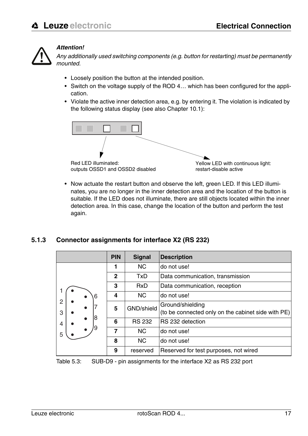

#### **Attention!**

Any additionally used switching components (e.g. button for restarting) must be permanently mounted.

- Loosely position the button at the intended position.
- Switch on the voltage supply of the ROD 4… which has been configured for the application.
- Violate the active inner detection area, e.g. by entering it. The violation is indicated by the following status display (see also [Chapter 10.1](#page-36-1)):



• Now actuate the restart button and observe the left, green LED. If this LED illuminates, you are no longer in the inner detection area and the location of the button is suitable. If the LED does not illuminate, there are still objects located within the inner detection area. In this case, change the location of the button and perform the test again.

#### <span id="page-18-0"></span>**5.1.3 Connector assignments for interface X2 (RS 232)**

|                     |    | <b>PIN</b>   | <b>Signal</b> | <b>Description</b>                                                     |
|---------------------|----|--------------|---------------|------------------------------------------------------------------------|
|                     |    |              | NC.           | do not use!                                                            |
|                     |    | $\mathbf{2}$ | TxD           | Data communication, transmission                                       |
|                     |    | 3            | <b>RxD</b>    | Data communication, reception                                          |
|                     | 6  | 4            | <b>NC</b>     | do not use!                                                            |
| $\overline{c}$<br>3 |    | 5            | GND/shield    | Ground/shielding<br>(to be connected only on the cabinet side with PE) |
| 4                   | 18 | 6            | <b>RS 232</b> | RS 232 detection                                                       |
| 5                   |    |              | NC.           | do not use!                                                            |
|                     |    | 8            | <b>NC</b>     | do not use!                                                            |
|                     |    | 9            | reserved      | Reserved for test purposes, not wired                                  |

<span id="page-18-1"></span>Table 5.3: SUB-D9 - pin assignments for the interface X2 as RS 232 port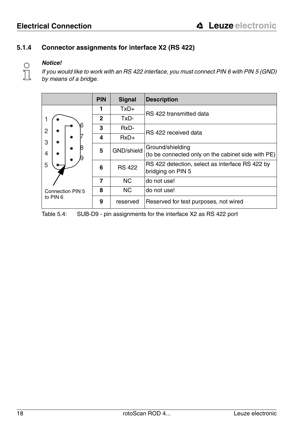#### <span id="page-19-0"></span>**5.1.4 Connector assignments for interface X2 (RS 422)**

# **Notice!**

 $\frac{1}{2}$ 

If you would like to work with an RS 422 interface, you must connect PIN 6 with PIN 5 (GND) by means of a bridge.

|                  | <b>PIN</b>   | Signal        | <b>Description</b>                                                     |
|------------------|--------------|---------------|------------------------------------------------------------------------|
|                  | 1            | $TxD+$        | RS 422 transmitted data                                                |
|                  | $\mathbf{2}$ | TxD-          |                                                                        |
| $\overline{2}$   | 3            | RxD-          | RS 422 received data                                                   |
| 3                | 4            | $RxD+$        |                                                                        |
| 4                | 5            | GND/shield    | Ground/shielding<br>(to be connected only on the cabinet side with PE) |
| 5                | 6            | <b>RS 422</b> | RS 422 detection, select as interface RS 422 by<br>bridging on PIN 5   |
|                  | 7            | <b>NC</b>     | do not use!                                                            |
| Connection PIN 5 | 8            | <b>NC</b>     | do not use!                                                            |
| to PIN 6         | 9            | reserved      | Reserved for test purposes, not wired                                  |

<span id="page-19-1"></span>Table 5.4: SUB-D9 - pin assignments for the interface X2 as RS 422 port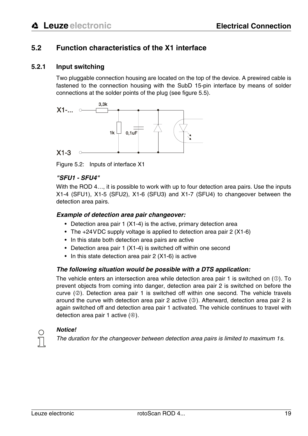# <span id="page-20-0"></span>**5.2 Function characteristics of the X1 interface**

#### <span id="page-20-1"></span>**5.2.1 Input switching**

Two pluggable connection housing are located on the top of the device. A prewired cable is fastened to the connection housing with the SubD 15-pin interface by means of solder connections at the solder points of the plug [\(see figure 5.5\).](#page-23-2)



<span id="page-20-2"></span>Figure 5.2: Inputs of interface X1

#### **"SFU1 - SFU4"**

With the ROD 4..., it is possible to work with up to four detection area pairs. Use the inputs X1-4 (SFU1), X1-5 (SFU2), X1-6 (SFU3) and X1-7 (SFU4) to changeover between the detection area pairs.

#### **Example of detection area pair changeover:**

- Detection area pair 1 (X1-4) is the active, primary detection area
- The +24 VDC supply voltage is applied to detection area pair 2 (X1-6)
- In this state both detection area pairs are active
- Detection area pair 1 (X1-4) is switched off within one second
- In this state detection area pair 2 (X1-6) is active

#### **The following situation would be possible with a DTS application:**

The vehicle enters an intersection area while detection area pair 1 is switched on  $(\mathbb{O})$ . To prevent objects from coming into danger, detection area pair 2 is switched on before the curve  $(\circled{2})$ . Detection area pair 1 is switched off within one second. The vehicle travels around the curve with detection area pair 2 active  $(③)$ . Afterward, detection area pair 2 is again switched off and detection area pair 1 activated. The vehicle continues to travel with detection area pair 1 active  $(\circledast)$ .

#### **Notice!**

The duration for the changeover between detection area pairs is limited to maximum 1s.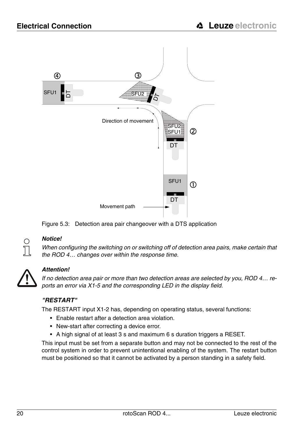

<span id="page-21-0"></span>



#### **Notice!**

When configuring the switching on or switching off of detection area pairs, make certain that the ROD 4… changes over within the response time.



#### **Attention!**

If no detection area pair or more than two detection areas are selected by you, ROD 4… reports an error via X1-5 and the corresponding LED in the display field.

#### **"RESTART"**

The RESTART input X1-2 has, depending on operating status, several functions:

- Enable restart after a detection area violation.
- New-start after correcting a device error.
- A high signal of at least 3 s and maximum 6 s duration triggers a RESET.

This input must be set from a separate button and may not be connected to the rest of the control system in order to prevent unintentional enabling of the system. The restart button must be positioned so that it cannot be activated by a person standing in a safety field.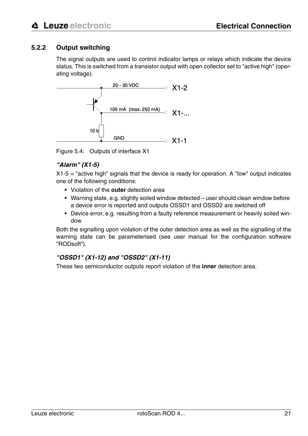#### <span id="page-22-0"></span>**5.2.2 Output switching**

The signal outputs are used to control indicator lamps or relays which indicate the device status. This is switched from a transistor output with open collector set to "active high" (operating voltage).



<span id="page-22-1"></span>Figure 5.4: Outputs of interface X1

#### **"Alarm" (X1-5)**

X1-5 = "active high" signals that the device is ready for operation. A "low" output indicates one of the following conditions:

- Violation of the **outer** detection area
- Warning state, e.g. slightly soiled window detected user should clean window before a device error is reported and outputs OSSD1 and OSSD2 are switched off
- Device error, e.g. resulting from a faulty reference measurement or heavily soiled window

Both the signalling upon violation of the outer detection area as well as the signalling of the warning state can be parameterised (see user manual for the configuration software "RODsoft").

#### **"OSSD1" (X1-12) and "OSSD2" (X1-11)**

These two semiconductor outputs report violation of the **inner** detection area.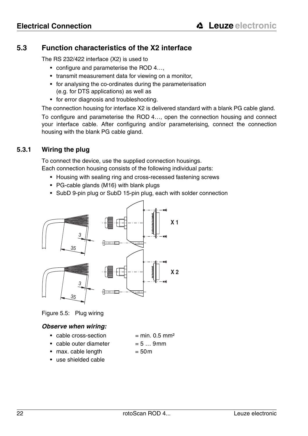### <span id="page-23-0"></span>**5.3 Function characteristics of the X2 interface**

The RS 232/422 interface (X2) is used to

- configure and parameterise the ROD 4....
- transmit measurement data for viewing on a monitor,
- for analysing the co-ordinates during the parameterisation (e.g. for DTS applications) as well as
- for error diagnosis and troubleshooting.

The connection housing for interface X2 is delivered standard with a blank PG cable gland.

To configure and parameterise the ROD 4…, open the connection housing and connect your interface cable. After configuring and/or parameterising, connect the connection housing with the blank PG cable gland.

#### <span id="page-23-1"></span>**5.3.1 Wiring the plug**

To connect the device, use the supplied connection housings. Each connection housing consists of the following individual parts:

- Housing with sealing ring and cross-recessed fastening screws
- PG-cable glands (M16) with blank plugs
- SubD 9-pin plug or SubD 15-pin plug, each with solder connection



<span id="page-23-2"></span>Figure 5.5: Plug wiring

#### **Observe when wiring:**

- cable cross-section  $= min. 0.5 mm<sup>2</sup>$ 
	-
- cable outer diameter  $= 5 ... 9$ mm
- max. cable length  $= 50m$
- use shielded cable
- 

22 rotoScan ROD 4... Leuze electronic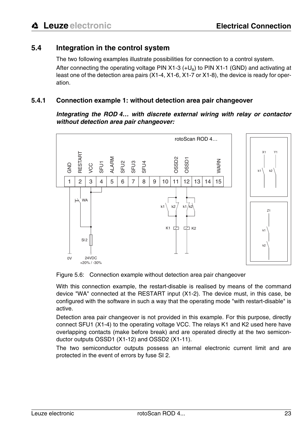# <span id="page-24-0"></span>**5.4 Integration in the control system**

The two following examples illustrate possibilities for connection to a control system. After connecting the operating voltage PIN  $X1-3$  (+U<sub>p</sub>) to PIN  $X1-1$  (GND) and activating at least one of the detection area pairs (X1-4, X1-6, X1-7 or X1-8), the device is ready for operation.

#### <span id="page-24-1"></span>**5.4.1 Connection example 1: without detection area pair changeover**

**Integrating the ROD 4… with discrete external wiring with relay or contactor without detection area pair changeover:**



<span id="page-24-2"></span>Figure 5.6: Connection example without detection area pair changeover

With this connection example, the restart-disable is realised by means of the command device "WA" connected at the RESTART input (X1-2). The device must, in this case, be configured with the software in such a way that the operating mode "with restart-disable" is active.

Detection area pair changeover is not provided in this example. For this purpose, directly connect SFU1 (X1-4) to the operating voltage VCC. The relays K1 and K2 used here have overlapping contacts (make before break) and are operated directly at the two semiconductor outputs OSSD1 (X1-12) and OSSD2 (X1-11).

The two semiconductor outputs possess an internal electronic current limit and are protected in the event of errors by fuse SI 2.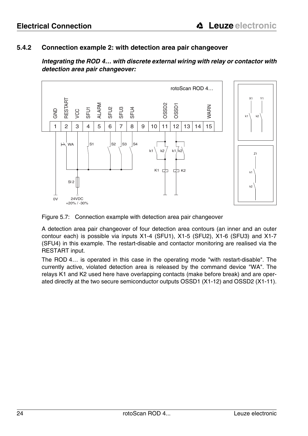#### <span id="page-25-0"></span>**5.4.2 Connection example 2: with detection area pair changeover**

**Integrating the ROD 4… with discrete external wiring with relay or contactor with detection area pair changeover:**



<span id="page-25-1"></span>Figure 5.7: Connection example with detection area pair changeover

A detection area pair changeover of four detection area contours (an inner and an outer contour each) is possible via inputs X1-4 (SFU1), X1-5 (SFU2), X1-6 (SFU3) and X1-7 (SFU4) in this example. The restart-disable and contactor monitoring are realised via the RESTART input.

The ROD 4… is operated in this case in the operating mode "with restart-disable". The currently active, violated detection area is released by the command device "WA". The relays K1 and K2 used here have overlapping contacts (make before break) and are operated directly at the two secure semiconductor outputs OSSD1 (X1-12) and OSSD2 (X1-11).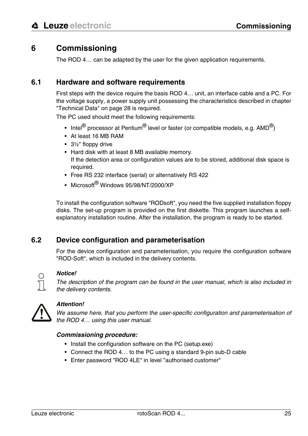# <span id="page-26-0"></span>**6 Commissioning**

The ROD 4… can be adapted by the user for the given application requirements.

#### <span id="page-26-1"></span>**6.1 Hardware and software requirements**

First steps with the device require the basis ROD 4… unit, an interface cable and a PC. For the voltage supply, a power supply unit possessing the characteristics described in chapter ["Technical Data" on page 28](#page-29-0) is required.

The PC used should meet the following requirements:

- Intel $^{\circledR}$  processor at Pentium $^{\circledR}$  level or faster (or compatible models, e.g. AMD $^{\circledR}$ )
- At least 16 MB RAM
- 3½" floppy drive
- Hard disk with at least 8 MB available memory. If the detection area or configuration values are to be stored, additional disk space is required.
- Free RS 232 interface (serial) or alternatively RS 422
- Microsoft<sup>®</sup> Windows 95/98/NT/2000/XP

To install the configuration software "RODsoft", you need the five supplied installation floppy disks. The set-up program is provided on the first diskette. This program launches a selfexplanatory installation routine. After the installation, the program is ready to be started.

# <span id="page-26-2"></span>**6.2 Device configuration and parameterisation**

For the device configuration and parameterisation, you require the configuration software "ROD-Soft", which is included in the delivery contents.



#### **Notice!**

The description of the program can be found in the user manual, which is also included in the delivery contents.



#### **Attention!**

We assume here, that you perform the user-specific configuration and parameterisation of the ROD 4… using this user manual.

#### **Commissioning procedure:**

- Install the configuration software on the PC (setup.exe)
- Connect the ROD 4… to the PC using a standard 9-pin sub-D cable
- Enter password "ROD 4LE" in level "authorised customer"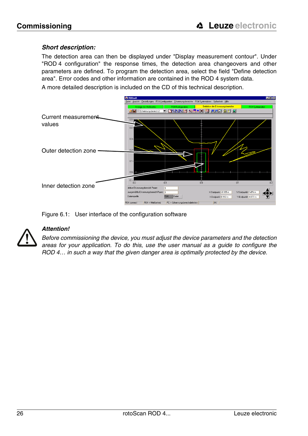#### **Short description:**

The detection area can then be displayed under "Display measurement contour". Under "ROD 4 configuration" the response times, the detection area changeovers and other parameters are defined. To program the detection area, select the field "Define detection area". Error codes and other information are contained in the ROD 4 system data.

A more detailed description is included on the CD of this technical description.



<span id="page-27-0"></span>



#### **Attention!**

Before commissioning the device, you must adjust the device parameters and the detection areas for your application. To do this, use the user manual as a guide to configure the ROD 4… in such a way that the given danger area is optimally protected by the device.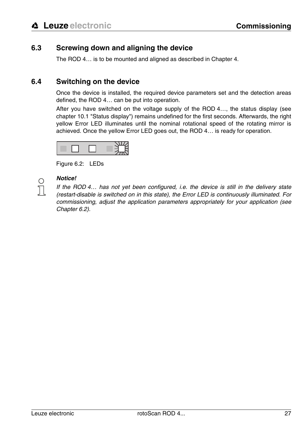# <span id="page-28-0"></span>**6.3 Screwing down and aligning the device**

The ROD 4… is to be mounted and aligned as described in [Chapter 4](#page-14-0).

### <span id="page-28-1"></span>**6.4 Switching on the device**

Once the device is installed, the required device parameters set and the detection areas defined, the ROD 4… can be put into operation.

After you have switched on the voltage supply of the ROD 4…, the status display [\(see](#page-36-1) [chapter 10.1 "Status display"\)](#page-36-1) remains undefined for the first seconds. Afterwards, the right yellow Error LED illuminates until the nominal rotational speed of the rotating mirror is achieved. Once the yellow Error LED goes out, the ROD 4… is ready for operation.



<span id="page-28-2"></span>Figure 6.2: LEDs



#### **Notice!**

If the ROD 4… has not yet been configured, i.e. the device is still in the delivery state (restart-disable is switched on in this state), the Error LED is continuously illuminated. For commissioning, adjust the application parameters appropriately for your application (see [Chapter 6.2\)](#page-26-2).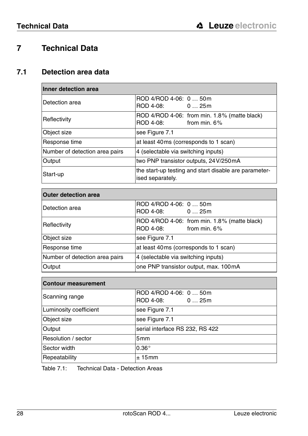# <span id="page-29-0"></span>**7 Technical Data**

# <span id="page-29-1"></span>**7.1 Detection area data**

| Inner detection area           |                                                                              |
|--------------------------------|------------------------------------------------------------------------------|
| IDetection area                | ROD 4/ROD 4-06: 0  50m<br>ROD 4-08: 0  25m                                   |
| Reflectivity                   | ROD 4/ROD 4-06: from min. 1.8% (matte black)<br>ROD 4-08:<br>from min. $6\%$ |
| Object size                    | see Figure 7.1                                                               |
| Response time                  | at least 40ms (corresponds to 1 scan)                                        |
| Number of detection area pairs | 4 (selectable via switching inputs)                                          |
| Output                         | two PNP transistor outputs, 24V/250mA                                        |
| Start-up                       | the start-up testing and start disable are parameter-<br>ised separately.    |

| <b>Outer detection area</b>    |                                                                              |  |  |  |
|--------------------------------|------------------------------------------------------------------------------|--|--|--|
| Detection area                 | ROD 4/ROD 4-06: 0  50m<br>ROD 4-08: 0  25m                                   |  |  |  |
| Reflectivity                   | ROD 4/ROD 4-06: from min. 1.8% (matte black)<br>from min, $6\%$<br>ROD 4-08: |  |  |  |
| Object size                    | see Figure 7.1                                                               |  |  |  |
| Response time                  | at least 40ms (corresponds to 1 scan)                                        |  |  |  |
| Number of detection area pairs | 4 (selectable via switching inputs)                                          |  |  |  |
| Output                         | one PNP transistor output, max. 100mA                                        |  |  |  |

| <b>Contour measurement</b> |                                            |  |  |  |
|----------------------------|--------------------------------------------|--|--|--|
| Scanning range             | ROD 4/ROD 4-06: 0  50m<br>ROD 4-08: 0  25m |  |  |  |
| Luminosity coefficient     | see Figure 7.1                             |  |  |  |
| <b>Object size</b>         | see Figure 7.1                             |  |  |  |
| Output                     | serial interface RS 232, RS 422            |  |  |  |
| Resolution / sector        | 5mm                                        |  |  |  |
| Sector width               | $0.36^\circ$                               |  |  |  |
| Repeatability              | ± 15mm                                     |  |  |  |

<span id="page-29-2"></span>Table 7.1: Technical Data - Detection Areas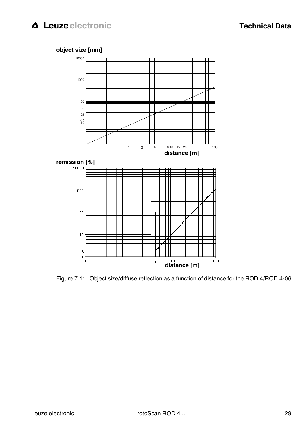#### **object size [mm]**



<span id="page-30-0"></span>Figure 7.1: Object size/diffuse reflection as a function of distance for the ROD 4/ROD 4-06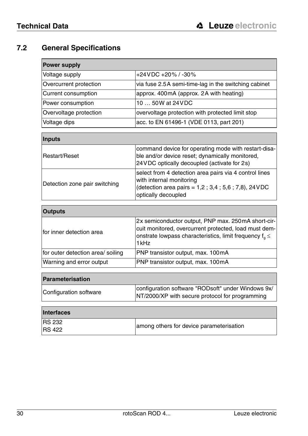# <span id="page-31-0"></span>**7.2 General Specifications**

| <b>Power supply</b>    |                                                      |
|------------------------|------------------------------------------------------|
| Voltage supply         | $+24$ VDC $+20\%$ / $-30\%$                          |
| Overcurrent protection | via fuse 2.5A semi-time-lag in the switching cabinet |
| Current consumption    | approx. 400mA (approx. 2A with heating)              |
| Power consumption      | 10  50W at 24 VDC                                    |
| Overvoltage protection | overvoltage protection with protected limit stop     |
| Voltage dips           | acc. to EN 61496-1 (VDE 0113, part 201)              |
|                        |                                                      |
| Inputs                 |                                                      |

| Restart/Reset                 | command device for operating mode with restart-disa-<br>ble and/or device reset; dynamically monitored,<br>24 VDC optically decoupled (activate for 2s)             |
|-------------------------------|---------------------------------------------------------------------------------------------------------------------------------------------------------------------|
| Detection zone pair switching | select from 4 detection area pairs via 4 control lines<br>with internal monitoring<br>(detection area pairs = $1,2$ ; 3,4; 5,6; 7,8), 24 VDC<br>optically decoupled |

| <b>Outputs</b>                    |                                                                                                                                                                                        |
|-----------------------------------|----------------------------------------------------------------------------------------------------------------------------------------------------------------------------------------|
| Ifor inner detection area         | 2x semiconductor output, PNP max. 250mA short-cir-<br>cuit monitored, overcurrent protected, load must dem-<br>onstrate lowpass characteristics, limit frequency $f_{0} \leq$<br>1 kHz |
| for outer detection area/ soiling | PNP transistor output, max. 100mA                                                                                                                                                      |
| Warning and error output          | PNP transistor output, max. 100mA                                                                                                                                                      |

| <b>Parameterisation</b> |                                                                                                       |
|-------------------------|-------------------------------------------------------------------------------------------------------|
| Configuration software  | configuration software "RODsoft" under Windows 9x/<br>NT/2000/XP with secure protocol for programming |

| <b>Interfaces</b>              |                                          |
|--------------------------------|------------------------------------------|
| <b>RS 232</b><br><b>RS 422</b> | among others for device parameterisation |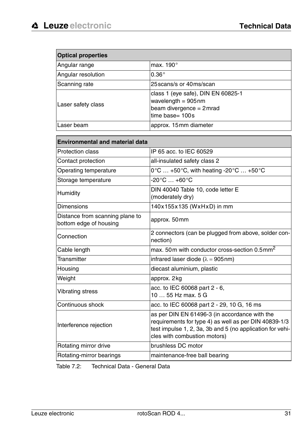| <b>Optical properties</b> |                                                                                                             |
|---------------------------|-------------------------------------------------------------------------------------------------------------|
| Angular range             | max. 190°                                                                                                   |
| Angular resolution        | $0.36^\circ$                                                                                                |
| Scanning rate             | 25 scans/s or 40 ms/scan                                                                                    |
| Laser safety class        | class 1 (eye safe), DIN EN 60825-1<br>wavelength = $905$ nm<br>beam divergence = 2mrad<br>time base= $100s$ |
| Laser beam                | approx. 15mm diameter                                                                                       |

| <b>Environmental and material data</b>                    |                                                                                                                                                                                                     |
|-----------------------------------------------------------|-----------------------------------------------------------------------------------------------------------------------------------------------------------------------------------------------------|
| <b>Protection class</b>                                   | IP 65 acc. to IEC 60529                                                                                                                                                                             |
| Contact protection                                        | all-insulated safety class 2                                                                                                                                                                        |
| Operating temperature                                     | $0^{\circ}$ C  +50 $^{\circ}$ C, with heating -20 $^{\circ}$ C  +50 $^{\circ}$ C                                                                                                                    |
| Storage temperature                                       | $-20^{\circ}$ C $ +60^{\circ}$ C                                                                                                                                                                    |
| Humidity                                                  | DIN 40040 Table 10, code letter E<br>(moderately dry)                                                                                                                                               |
| Dimensions                                                | 140x155x135 (WxHxD) in mm                                                                                                                                                                           |
| Distance from scanning plane to<br>bottom edge of housing | approx. 50mm                                                                                                                                                                                        |
| Connection                                                | 2 connectors (can be plugged from above, solder con-<br>nection)                                                                                                                                    |
| Cable length                                              | max. 50m with conductor cross-section 0.5mm <sup>2</sup>                                                                                                                                            |
| Transmitter                                               | infrared laser diode ( $\lambda = 905$ nm)                                                                                                                                                          |
| Housing                                                   | diecast aluminium, plastic                                                                                                                                                                          |
| Weight                                                    | approx. 2kg                                                                                                                                                                                         |
| <b>Vibrating stress</b>                                   | acc. to IEC 60068 part 2 - 6,<br>10  55 Hz max, 5 G                                                                                                                                                 |
| Continuous shock                                          | acc. to IEC 60068 part 2 - 29, 10 G, 16 ms                                                                                                                                                          |
| Interference rejection                                    | as per DIN EN 61496-3 (in accordance with the<br>requirements for type 4) as well as per DIN 40839-1/3<br>test impulse 1, 2, 3a, 3b and 5 (no application for vehi-<br>cles with combustion motors) |
| Rotating mirror drive                                     | brushless DC motor                                                                                                                                                                                  |
| Rotating-mirror bearings                                  | maintenance-free ball bearing                                                                                                                                                                       |

<span id="page-32-0"></span>Table 7.2: Technical Data - General Data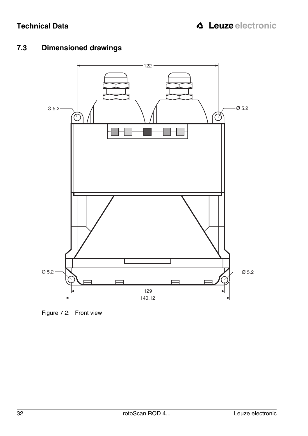# <span id="page-33-0"></span>**7.3 Dimensioned drawings**



<span id="page-33-1"></span>Figure 7.2: Front view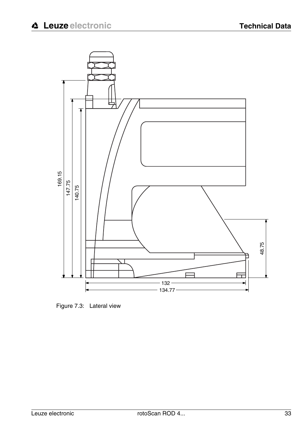

<span id="page-34-0"></span>Figure 7.3: Lateral view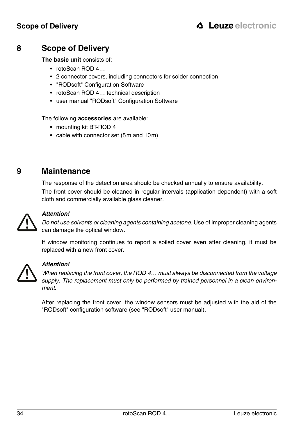# <span id="page-35-0"></span>**8 Scope of Delivery**

**The basic unit** consists of:

- rotoScan ROD 4.
- 2 connector covers, including connectors for solder connection
- "RODsoft" Configuration Software
- rotoScan ROD 4… technical description
- user manual "RODsoft" Configuration Software

The following **accessories** are available:

- mounting kit BT-ROD 4
- cable with connector set (5m and 10m)

# <span id="page-35-1"></span>**9 Maintenance**

The response of the detection area should be checked annually to ensure availability.

The front cover should be cleaned in regular intervals (application dependent) with a soft cloth and commercially available glass cleaner.



#### **Attention!**

Do not use solvents or cleaning agents containing acetone. Use of improper cleaning agents can damage the optical window.

If window monitoring continues to report a soiled cover even after cleaning, it must be replaced with a new front cover.



#### **Attention!**

When replacing the front cover, the ROD 4… must always be disconnected from the voltage supply. The replacement must only be performed by trained personnel in a clean environment.

After replacing the front cover, the window sensors must be adjusted with the aid of the "RODsoft" configuration software (see "RODsoft" user manual).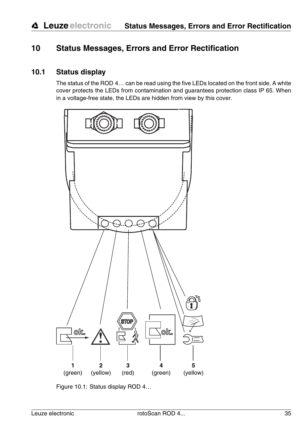# <span id="page-36-0"></span>**10 Status Messages, Errors and Error Rectification**

### <span id="page-36-1"></span>**10.1 Status display**

The status of the ROD 4… can be read using the five LEDs located on the front side. A white cover protects the LEDs from contamination and guarantees protection class IP 65. When in a voltage-free state, the LEDs are hidden from view by this cover.



<span id="page-36-2"></span>Figure 10.1: Status display ROD 4…